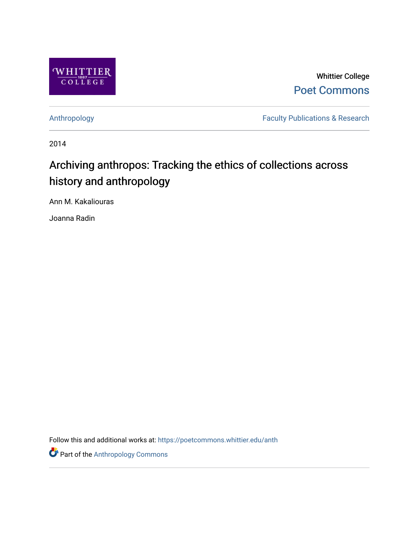

Whittier College [Poet Commons](https://poetcommons.whittier.edu/) 

[Anthropology](https://poetcommons.whittier.edu/anth) **Faculty Publications & Research** 

2014

# Archiving anthropos: Tracking the ethics of collections across history and anthropology

Ann M. Kakaliouras

Joanna Radin

Follow this and additional works at: [https://poetcommons.whittier.edu/anth](https://poetcommons.whittier.edu/anth?utm_source=poetcommons.whittier.edu%2Fanth%2F4&utm_medium=PDF&utm_campaign=PDFCoverPages) 

**Part of the [Anthropology Commons](http://network.bepress.com/hgg/discipline/318?utm_source=poetcommons.whittier.edu%2Fanth%2F4&utm_medium=PDF&utm_campaign=PDFCoverPages)**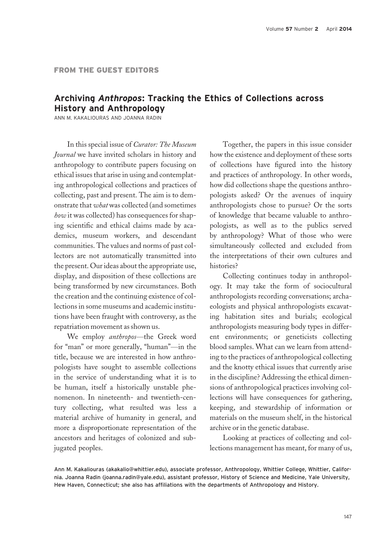# Archiving Anthropos: Tracking the Ethics of Collections across History and Anthropology

ANN M. KAKALIOURAS AND JOANNA RADIN

In this special issue of *Curator: The Museum* Journal we have invited scholars in history and anthropology to contribute papers focusing on ethical issues that arise in using and contemplating anthropological collections and practices of collecting, past and present. The aim is to demonstrate that what was collected (and sometimes how it was collected) has consequences for shaping scientific and ethical claims made by academics, museum workers, and descendant communities. The values and norms of past collectors are not automatically transmitted into the present. Our ideas about the appropriate use, display, and disposition of these collections are being transformed by new circumstances. Both the creation and the continuing existence of collections in some museums and academic institutions have been fraught with controversy, as the repatriation movement as shown us.

We employ anthropos-the Greek word for "man" or more generally, "human"—in the title, because we are interested in how anthropologists have sought to assemble collections in the service of understanding what it is to be human, itself a historically unstable phenomenon. In nineteenth- and twentieth-century collecting, what resulted was less a material archive of humanity in general, and more a disproportionate representation of the ancestors and heritages of colonized and subjugated peoples.

Together, the papers in this issue consider how the existence and deployment of these sorts of collections have figured into the history and practices of anthropology. In other words, how did collections shape the questions anthropologists asked? Or the avenues of inquiry anthropologists chose to pursue? Or the sorts of knowledge that became valuable to anthropologists, as well as to the publics served by anthropology? What of those who were simultaneously collected and excluded from the interpretations of their own cultures and histories?

Collecting continues today in anthropology. It may take the form of sociocultural anthropologists recording conversations; archaeologists and physical anthropologists excavating habitation sites and burials; ecological anthropologists measuring body types in different environments; or geneticists collecting blood samples. What can we learn from attending to the practices of anthropological collecting and the knotty ethical issues that currently arise in the discipline? Addressing the ethical dimensions of anthropological practices involving collections will have consequences for gathering, keeping, and stewardship of information or materials on the museum shelf, in the historical archive or in the genetic database.

Looking at practices of collecting and collections management has meant, for many of us,

Ann M. Kakaliouras (akakalio@whittier.edu), associate professor, Anthropology, Whittier College, Whittier, California. Joanna Radin (joanna.radin@yale.edu), assistant professor, History of Science and Medicine, Yale University, Hew Haven, Connecticut; she also has affiliations with the departments of Anthropology and History.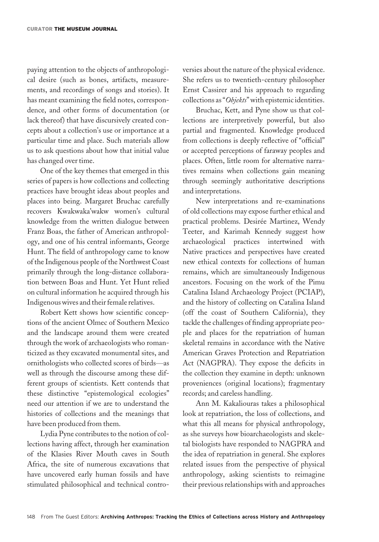paying attention to the objects of anthropological desire (such as bones, artifacts, measurements, and recordings of songs and stories). It has meant examining the field notes, correspondence, and other forms of documentation (or lack thereof) that have discursively created concepts about a collection's use or importance at a particular time and place. Such materials allow us to ask questions about how that initial value has changed over time.

One of the key themes that emerged in this series of papers is how collections and collecting practices have brought ideas about peoples and places into being. Margaret Bruchac carefully recovers Kwakwaka'wakw women's cultural knowledge from the written dialogue between Franz Boas, the father of American anthropology, and one of his central informants, George Hunt. The field of anthropology came to know of the Indigenous people of the Northwest Coast primarily through the long-distance collaboration between Boas and Hunt. Yet Hunt relied on cultural information he acquired through his Indigenous wives and their female relatives.

Robert Kett shows how scientific conceptions of the ancient Olmec of Southern Mexico and the landscape around them were created through the work of archaeologists who romanticized as they excavated monumental sites, and ornithologists who collected scores of birds—as well as through the discourse among these different groups of scientists. Kett contends that these distinctive "epistemological ecologies" need our attention if we are to understand the histories of collections and the meanings that have been produced from them.

Lydia Pyne contributes to the notion of collections having affect, through her examination of the Klasies River Mouth caves in South Africa, the site of numerous excavations that have uncovered early human fossils and have stimulated philosophical and technical controversies about the nature of the physical evidence. She refers us to twentieth-century philosopher Ernst Cassirer and his approach to regarding collections as "Objekts" with epistemic identities.

Bruchac, Kett, and Pyne show us that collections are interpretively powerful, but also partial and fragmented. Knowledge produced from collections is deeply reflective of "official" or accepted perceptions of faraway peoples and places. Often, little room for alternative narratives remains when collections gain meaning through seemingly authoritative descriptions and interpretations.

New interpretations and re-examinations of old collections may expose further ethical and practical problems. Desirée Martinez, Wendy Teeter, and Karimah Kennedy suggest how archaeological practices intertwined with Native practices and perspectives have created new ethical contexts for collections of human remains, which are simultaneously Indigenous ancestors. Focusing on the work of the Pimu Catalina Island Archaeology Project (PCIAP), and the history of collecting on Catalina Island (off the coast of Southern California), they tackle the challenges of finding appropriate people and places for the repatriation of human skeletal remains in accordance with the Native American Graves Protection and Repatriation Act (NAGPRA). They expose the deficits in the collection they examine in depth: unknown proveniences (original locations); fragmentary records; and careless handling.

Ann M. Kakaliouras takes a philosophical look at repatriation, the loss of collections, and what this all means for physical anthropology, as she surveys how bioarchaeologists and skeletal biologists have responded to NAGPRA and the idea of repatriation in general. She explores related issues from the perspective of physical anthropology, asking scientists to reimagine their previous relationships with and approaches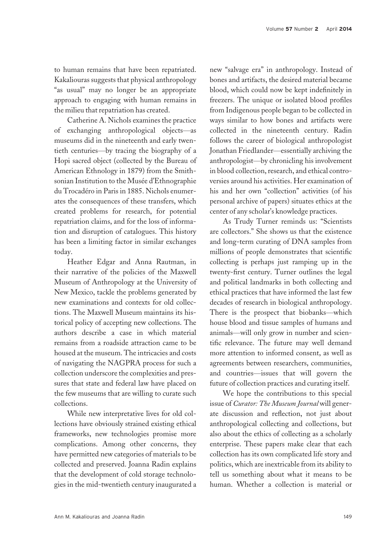to human remains that have been repatriated. Kakaliouras suggests that physical anthropology "as usual" may no longer be an appropriate approach to engaging with human remains in the milieu that repatriation has created.

Catherine A. Nichols examines the practice of exchanging anthropological objects—as museums did in the nineteenth and early twentieth centuries—by tracing the biography of a Hopi sacred object (collected by the Bureau of American Ethnology in 1879) from the Smithsonian Institution to the Musée d'Ethnographie du Trocadéro in Paris in 1885. Nichols enumerates the consequences of these transfers, which created problems for research, for potential repatriation claims, and for the loss of information and disruption of catalogues. This history has been a limiting factor in similar exchanges today.

Heather Edgar and Anna Rautman, in their narrative of the policies of the Maxwell Museum of Anthropology at the University of New Mexico, tackle the problems generated by new examinations and contexts for old collections. The Maxwell Museum maintains its historical policy of accepting new collections. The authors describe a case in which material remains from a roadside attraction came to be housed at the museum. The intricacies and costs of navigating the NAGPRA process for such a collection underscore the complexities and pressures that state and federal law have placed on the few museums that are willing to curate such collections.

While new interpretative lives for old collections have obviously strained existing ethical frameworks, new technologies promise more complications. Among other concerns, they have permitted new categories of materials to be collected and preserved. Joanna Radin explains that the development of cold storage technologies in the mid-twentieth century inaugurated a

new "salvage era" in anthropology. Instead of bones and artifacts, the desired material became blood, which could now be kept indefinitely in freezers. The unique or isolated blood profiles from Indigenous people began to be collected in ways similar to how bones and artifacts were collected in the nineteenth century. Radin follows the career of biological anthropologist Jonathan Friedlander—essentially archiving the anthropologist—by chronicling his involvement in blood collection, research, and ethical controversies around his activities. Her examination of his and her own "collection" activities (of his personal archive of papers) situates ethics at the center of any scholar's knowledge practices.

As Trudy Turner reminds us: "Scientists are collectors." She shows us that the existence and long-term curating of DNA samples from millions of people demonstrates that scientific collecting is perhaps just ramping up in the twenty-first century. Turner outlines the legal and political landmarks in both collecting and ethical practices that have informed the last few decades of research in biological anthropology. There is the prospect that biobanks—which house blood and tissue samples of humans and animals—will only grow in number and scientific relevance. The future may well demand more attention to informed consent, as well as agreements between researchers, communities, and countries—issues that will govern the future of collection practices and curating itself.

We hope the contributions to this special issue of Curator: The Museum Journal will generate discussion and reflection, not just about anthropological collecting and collections, but also about the ethics of collecting as a scholarly enterprise. These papers make clear that each collection has its own complicated life story and politics, which are inextricable from its ability to tell us something about what it means to be human. Whether a collection is material or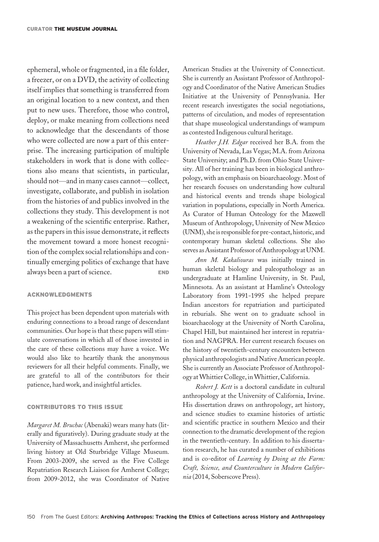ephemeral, whole or fragmented, in a file folder, a freezer, or on a DVD, the activity of collecting itself implies that something is transferred from an original location to a new context, and then put to new uses. Therefore, those who control, deploy, or make meaning from collections need to acknowledge that the descendants of those who were collected are now a part of this enterprise. The increasing participation of multiple stakeholders in work that is done with collections also means that scientists, in particular, should not—and in many cases cannot—collect, investigate, collaborate, and publish in isolation from the histories of and publics involved in the collections they study. This development is not a weakening of the scientific enterprise. Rather, as the papers in this issue demonstrate, it reflects the movement toward a more honest recognition of the complex social relationships and continually emerging politics of exchange that have always been a part of science. END

### ACKNOWLEDGMENTS

This project has been dependent upon materials with enduring connections to a broad range of descendant communities. Our hope is that these papers will stimulate conversations in which all of those invested in the care of these collections may have a voice. We would also like to heartily thank the anonymous reviewers for all their helpful comments. Finally, we are grateful to all of the contributors for their patience, hard work, and insightful articles.

## CONTRIBUTORS TO THIS ISSUE

Margaret M. Bruchac (Abenaki) wears many hats (literally and figuratively). During graduate study at the University of Massachusetts Amherst, she performed living history at Old Sturbridge Village Museum. From 2003-2009, she served as the Five College Repatriation Research Liaison for Amherst College; from 2009-2012, she was Coordinator of Native American Studies at the University of Connecticut. She is currently an Assistant Professor of Anthropology and Coordinator of the Native American Studies Initiative at the University of Pennsylvania. Her recent research investigates the social negotiations, patterns of circulation, and modes of representation that shape museological understandings of wampum as contested Indigenous cultural heritage.

Heather J.H. Edgar received her B.A. from the University of Nevada, Las Vegas; M.A. from Arizona State University; and Ph.D. from Ohio State University. All of her training has been in biological anthropology, with an emphasis on bioarchaeology. Most of her research focuses on understanding how cultural and historical events and trends shape biological variation in populations, especially in North America. As Curator of Human Osteology for the Maxwell Museum of Anthropology, University of New Mexico (UNM), sheis responsible for pre-contact, historic, and contemporary human skeletal collections. She also serves as Assistant Professor of Anthropology at UNM.

Ann M. Kakaliouras was initially trained in human skeletal biology and paleopathology as an undergraduate at Hamline University, in St. Paul, Minnesota. As an assistant at Hamline's Osteology Laboratory from 1991-1995 she helped prepare Indian ancestors for repatriation and participated in reburials. She went on to graduate school in bioarchaeology at the University of North Carolina, Chapel Hill, but maintained her interest in repatriation and NAGPRA. Her current research focuses on the history of twentieth-century encounters between physical anthropologists and Native American people. She is currently an Associate Professor of Anthropology atWhittier College, inWhittier, California.

Robert J. Kett is a doctoral candidate in cultural anthropology at the University of California, Irvine. His dissertation draws on anthropology, art history, and science studies to examine histories of artistic and scientific practice in southern Mexico and their connection to the dramatic development of the region in the twentieth-century. In addition to his dissertation research, he has curated a number of exhibitions and is co-editor of Learning by Doing at the Farm: Craft, Science, and Counterculture in Modern California (2014, Soberscove Press).